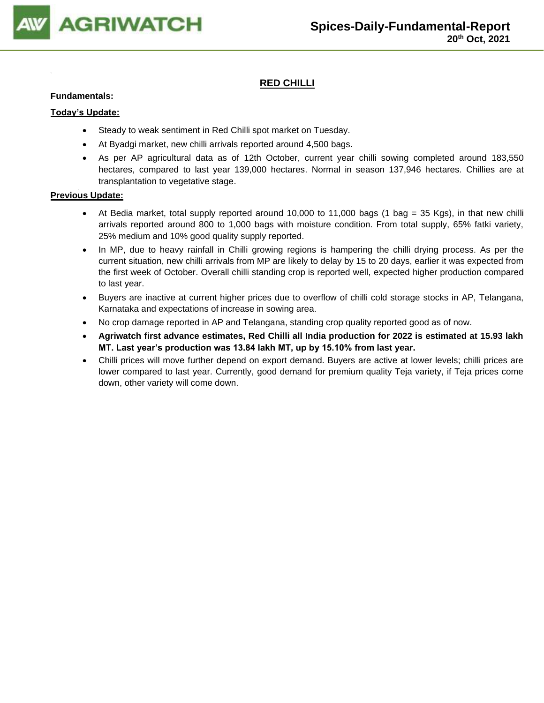

## **RED CHILLI**

### **Fundamentals:**

### **Today's Update:**

- Steady to weak sentiment in Red Chilli spot market on Tuesday.
- At Byadgi market, new chilli arrivals reported around 4,500 bags.
- As per AP agricultural data as of 12th October, current year chilli sowing completed around 183,550 hectares, compared to last year 139,000 hectares. Normal in season 137,946 hectares. Chillies are at transplantation to vegetative stage.

- At Bedia market, total supply reported around 10,000 to 11,000 bags (1 bag = 35 Kgs), in that new chilli arrivals reported around 800 to 1,000 bags with moisture condition. From total supply, 65% fatki variety, 25% medium and 10% good quality supply reported.
- In MP, due to heavy rainfall in Chilli growing regions is hampering the chilli drying process. As per the current situation, new chilli arrivals from MP are likely to delay by 15 to 20 days, earlier it was expected from the first week of October. Overall chilli standing crop is reported well, expected higher production compared to last year.
- Buyers are inactive at current higher prices due to overflow of chilli cold storage stocks in AP, Telangana, Karnataka and expectations of increase in sowing area.
- No crop damage reported in AP and Telangana, standing crop quality reported good as of now.
- **Agriwatch first advance estimates, Red Chilli all India production for 2022 is estimated at 15.93 lakh MT. Last year's production was 13.84 lakh MT, up by 15.10% from last year.**
- Chilli prices will move further depend on export demand. Buyers are active at lower levels; chilli prices are lower compared to last year. Currently, good demand for premium quality Teja variety, if Teja prices come down, other variety will come down.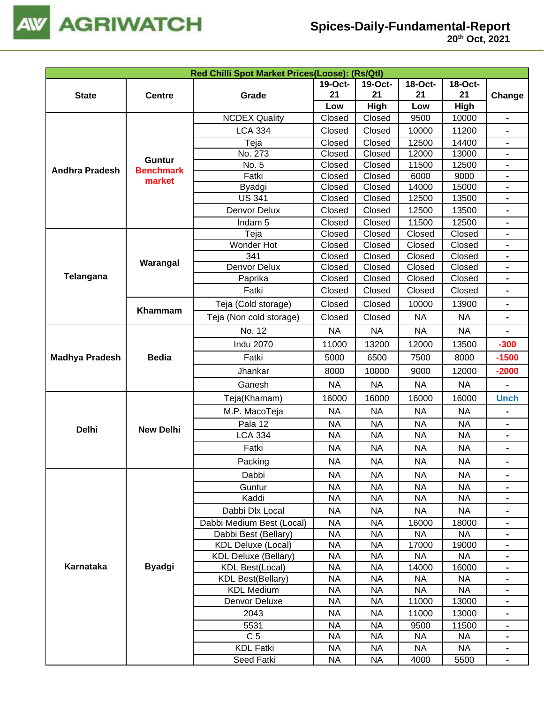

| Red Chilli Spot Market Prices(Loose): (Rs/Qtl) |                                                                                                                                                                                                                                                                                                                                                                                                                                                                                                                                                                                                                                                                                                                                                                                                                                           |                      |                        |                        |                        |                        |                              |  |
|------------------------------------------------|-------------------------------------------------------------------------------------------------------------------------------------------------------------------------------------------------------------------------------------------------------------------------------------------------------------------------------------------------------------------------------------------------------------------------------------------------------------------------------------------------------------------------------------------------------------------------------------------------------------------------------------------------------------------------------------------------------------------------------------------------------------------------------------------------------------------------------------------|----------------------|------------------------|------------------------|------------------------|------------------------|------------------------------|--|
|                                                |                                                                                                                                                                                                                                                                                                                                                                                                                                                                                                                                                                                                                                                                                                                                                                                                                                           |                      | 19-Oct-                | 19-Oct-                | 18-Oct-                | 18-Oct-                |                              |  |
| <b>State</b>                                   | <b>Centre</b>                                                                                                                                                                                                                                                                                                                                                                                                                                                                                                                                                                                                                                                                                                                                                                                                                             | Grade                | 21                     | 21                     | 21                     | 21                     | Change                       |  |
|                                                |                                                                                                                                                                                                                                                                                                                                                                                                                                                                                                                                                                                                                                                                                                                                                                                                                                           |                      | Low                    | High                   | Low                    | High                   |                              |  |
|                                                |                                                                                                                                                                                                                                                                                                                                                                                                                                                                                                                                                                                                                                                                                                                                                                                                                                           | <b>NCDEX Quality</b> | Closed                 | Closed                 | 9500                   | 10000                  | $\blacksquare$               |  |
|                                                | <b>LCA 334</b><br>Teja<br>No. 273<br><b>Guntur</b><br>No. 5<br><b>Benchmark</b><br>Fatki<br>market<br><b>Byadgi</b><br><b>US 341</b><br>Denvor Delux<br>Indam <sub>5</sub><br>Teja<br>Wonder Hot<br>341<br>Warangal<br>Denvor Delux<br>Paprika<br>Fatki<br>Teja (Cold storage)<br>Khammam<br>Teja (Non cold storage)<br>No. 12<br><b>Indu 2070</b><br><b>Bedia</b><br>Fatki<br>Jhankar<br>Ganesh<br>Teja(Khamam)<br>M.P. MacoTeja<br>Pala 12<br><b>New Delhi</b><br><b>LCA 334</b><br>Fatki<br>Packing<br>Dabbi<br>Guntur<br>Kaddi<br>Dabbi Dlx Local<br>Dabbi Medium Best (Local)<br>Dabbi Best (Bellary)<br><b>KDL Deluxe (Local)</b><br><b>KDL Deluxe (Bellary)</b><br><b>Byadgi</b><br><b>KDL Best(Local)</b><br><b>KDL Best(Bellary)</b><br><b>KDL Medium</b><br>Denvor Deluxe<br>2043<br>5531<br>C <sub>5</sub><br><b>KDL Fatki</b> |                      | Closed                 | Closed                 | 10000                  | 11200                  |                              |  |
|                                                |                                                                                                                                                                                                                                                                                                                                                                                                                                                                                                                                                                                                                                                                                                                                                                                                                                           |                      | Closed                 | Closed                 | 12500                  | 14400                  | $\qquad \qquad \blacksquare$ |  |
|                                                |                                                                                                                                                                                                                                                                                                                                                                                                                                                                                                                                                                                                                                                                                                                                                                                                                                           |                      | Closed                 | Closed                 | 12000                  | 13000                  |                              |  |
| <b>Andhra Pradesh</b>                          |                                                                                                                                                                                                                                                                                                                                                                                                                                                                                                                                                                                                                                                                                                                                                                                                                                           |                      | Closed                 | Closed                 | 11500                  | 12500                  |                              |  |
|                                                |                                                                                                                                                                                                                                                                                                                                                                                                                                                                                                                                                                                                                                                                                                                                                                                                                                           |                      | Closed                 | Closed                 | 6000                   | 9000                   |                              |  |
|                                                |                                                                                                                                                                                                                                                                                                                                                                                                                                                                                                                                                                                                                                                                                                                                                                                                                                           |                      | Closed                 | Closed                 | 14000                  | 15000                  |                              |  |
|                                                |                                                                                                                                                                                                                                                                                                                                                                                                                                                                                                                                                                                                                                                                                                                                                                                                                                           |                      | Closed                 | Closed                 | 12500                  | 13500                  |                              |  |
|                                                |                                                                                                                                                                                                                                                                                                                                                                                                                                                                                                                                                                                                                                                                                                                                                                                                                                           |                      | Closed                 | Closed                 | 12500                  | 13500                  | $\blacksquare$               |  |
|                                                |                                                                                                                                                                                                                                                                                                                                                                                                                                                                                                                                                                                                                                                                                                                                                                                                                                           |                      | Closed                 | Closed                 | 11500                  | 12500                  |                              |  |
|                                                |                                                                                                                                                                                                                                                                                                                                                                                                                                                                                                                                                                                                                                                                                                                                                                                                                                           |                      | Closed                 | Closed                 | Closed                 | Closed                 |                              |  |
|                                                |                                                                                                                                                                                                                                                                                                                                                                                                                                                                                                                                                                                                                                                                                                                                                                                                                                           |                      | Closed                 | Closed                 | Closed                 | Closed                 |                              |  |
|                                                |                                                                                                                                                                                                                                                                                                                                                                                                                                                                                                                                                                                                                                                                                                                                                                                                                                           |                      | Closed<br>Closed       | Closed<br>Closed       | Closed                 | Closed<br>Closed       | $\blacksquare$               |  |
| Telangana                                      |                                                                                                                                                                                                                                                                                                                                                                                                                                                                                                                                                                                                                                                                                                                                                                                                                                           |                      | Closed                 | Closed                 | Closed<br>Closed       | Closed                 |                              |  |
|                                                |                                                                                                                                                                                                                                                                                                                                                                                                                                                                                                                                                                                                                                                                                                                                                                                                                                           |                      | Closed                 | Closed                 | Closed                 | Closed                 | $\blacksquare$               |  |
|                                                |                                                                                                                                                                                                                                                                                                                                                                                                                                                                                                                                                                                                                                                                                                                                                                                                                                           |                      |                        |                        |                        |                        |                              |  |
|                                                |                                                                                                                                                                                                                                                                                                                                                                                                                                                                                                                                                                                                                                                                                                                                                                                                                                           |                      | Closed                 | Closed                 | 10000                  | 13900                  |                              |  |
|                                                |                                                                                                                                                                                                                                                                                                                                                                                                                                                                                                                                                                                                                                                                                                                                                                                                                                           |                      | Closed                 | Closed                 | <b>NA</b>              | <b>NA</b>              | $\blacksquare$               |  |
|                                                |                                                                                                                                                                                                                                                                                                                                                                                                                                                                                                                                                                                                                                                                                                                                                                                                                                           |                      | <b>NA</b>              | <b>NA</b>              | <b>NA</b>              | <b>NA</b>              |                              |  |
|                                                |                                                                                                                                                                                                                                                                                                                                                                                                                                                                                                                                                                                                                                                                                                                                                                                                                                           |                      | 11000                  | 13200                  | 12000                  | 13500                  | $-300$                       |  |
| <b>Madhya Pradesh</b>                          |                                                                                                                                                                                                                                                                                                                                                                                                                                                                                                                                                                                                                                                                                                                                                                                                                                           |                      | 5000                   | 6500                   | 7500                   | 8000                   | $-1500$                      |  |
|                                                |                                                                                                                                                                                                                                                                                                                                                                                                                                                                                                                                                                                                                                                                                                                                                                                                                                           |                      | 8000                   | 10000                  | 9000                   | 12000                  | $-2000$                      |  |
|                                                |                                                                                                                                                                                                                                                                                                                                                                                                                                                                                                                                                                                                                                                                                                                                                                                                                                           |                      | <b>NA</b>              | <b>NA</b>              | <b>NA</b>              | <b>NA</b>              |                              |  |
|                                                |                                                                                                                                                                                                                                                                                                                                                                                                                                                                                                                                                                                                                                                                                                                                                                                                                                           |                      | 16000                  | 16000                  | 16000                  | 16000                  | <b>Unch</b>                  |  |
|                                                |                                                                                                                                                                                                                                                                                                                                                                                                                                                                                                                                                                                                                                                                                                                                                                                                                                           |                      | <b>NA</b>              | <b>NA</b>              | <b>NA</b>              | <b>NA</b>              |                              |  |
|                                                |                                                                                                                                                                                                                                                                                                                                                                                                                                                                                                                                                                                                                                                                                                                                                                                                                                           |                      | <b>NA</b>              | <b>NA</b>              | <b>NA</b>              | <b>NA</b>              | $\blacksquare$               |  |
|                                                |                                                                                                                                                                                                                                                                                                                                                                                                                                                                                                                                                                                                                                                                                                                                                                                                                                           |                      | <b>NA</b>              | <b>NA</b>              | <b>NA</b>              | <b>NA</b>              | $\blacksquare$               |  |
| <b>Delhi</b>                                   |                                                                                                                                                                                                                                                                                                                                                                                                                                                                                                                                                                                                                                                                                                                                                                                                                                           |                      | <b>NA</b>              | <b>NA</b>              | <b>NA</b>              | <b>NA</b>              |                              |  |
|                                                |                                                                                                                                                                                                                                                                                                                                                                                                                                                                                                                                                                                                                                                                                                                                                                                                                                           |                      | <b>NA</b>              | <b>NA</b>              | <b>NA</b>              | <b>NA</b>              |                              |  |
|                                                |                                                                                                                                                                                                                                                                                                                                                                                                                                                                                                                                                                                                                                                                                                                                                                                                                                           |                      |                        |                        |                        |                        |                              |  |
|                                                |                                                                                                                                                                                                                                                                                                                                                                                                                                                                                                                                                                                                                                                                                                                                                                                                                                           |                      | <b>NA</b><br><b>NA</b> | <b>NA</b><br><b>NA</b> | <b>NA</b><br><b>NA</b> | <b>NA</b><br><b>NA</b> |                              |  |
|                                                |                                                                                                                                                                                                                                                                                                                                                                                                                                                                                                                                                                                                                                                                                                                                                                                                                                           |                      | <b>NA</b>              | <b>NA</b>              | <b>NA</b>              | <b>NA</b>              | $\blacksquare$               |  |
|                                                |                                                                                                                                                                                                                                                                                                                                                                                                                                                                                                                                                                                                                                                                                                                                                                                                                                           |                      | <b>NA</b>              | <b>NA</b>              | <b>NA</b>              | <b>NA</b>              |                              |  |
|                                                |                                                                                                                                                                                                                                                                                                                                                                                                                                                                                                                                                                                                                                                                                                                                                                                                                                           |                      | <b>NA</b>              | <b>NA</b>              |                        |                        |                              |  |
|                                                |                                                                                                                                                                                                                                                                                                                                                                                                                                                                                                                                                                                                                                                                                                                                                                                                                                           |                      | <b>NA</b>              | <b>NA</b>              | 16000<br><b>NA</b>     | 18000<br><b>NA</b>     |                              |  |
|                                                |                                                                                                                                                                                                                                                                                                                                                                                                                                                                                                                                                                                                                                                                                                                                                                                                                                           |                      | <b>NA</b>              | <b>NA</b>              | 17000                  | 19000                  |                              |  |
|                                                |                                                                                                                                                                                                                                                                                                                                                                                                                                                                                                                                                                                                                                                                                                                                                                                                                                           |                      | <b>NA</b>              | <b>NA</b>              | <b>NA</b>              | <b>NA</b>              |                              |  |
| <b>Karnataka</b>                               |                                                                                                                                                                                                                                                                                                                                                                                                                                                                                                                                                                                                                                                                                                                                                                                                                                           |                      | <b>NA</b>              | NA                     | 14000                  | 16000                  | Ξ.                           |  |
|                                                |                                                                                                                                                                                                                                                                                                                                                                                                                                                                                                                                                                                                                                                                                                                                                                                                                                           |                      | <b>NA</b>              | <b>NA</b>              | <b>NA</b>              | <b>NA</b>              | $\blacksquare$               |  |
|                                                |                                                                                                                                                                                                                                                                                                                                                                                                                                                                                                                                                                                                                                                                                                                                                                                                                                           |                      | <b>NA</b>              | <b>NA</b>              | <b>NA</b>              | <b>NA</b>              |                              |  |
|                                                |                                                                                                                                                                                                                                                                                                                                                                                                                                                                                                                                                                                                                                                                                                                                                                                                                                           |                      | <b>NA</b>              | <b>NA</b>              | 11000                  | 13000                  |                              |  |
|                                                |                                                                                                                                                                                                                                                                                                                                                                                                                                                                                                                                                                                                                                                                                                                                                                                                                                           |                      | <b>NA</b>              | NA                     | 11000                  | 13000                  |                              |  |
|                                                |                                                                                                                                                                                                                                                                                                                                                                                                                                                                                                                                                                                                                                                                                                                                                                                                                                           |                      | <b>NA</b>              | <b>NA</b>              | 9500                   | 11500                  | $\blacksquare$               |  |
|                                                |                                                                                                                                                                                                                                                                                                                                                                                                                                                                                                                                                                                                                                                                                                                                                                                                                                           |                      | <b>NA</b>              | NA                     | <b>NA</b>              | <b>NA</b>              |                              |  |
|                                                |                                                                                                                                                                                                                                                                                                                                                                                                                                                                                                                                                                                                                                                                                                                                                                                                                                           |                      | <b>NA</b>              | <b>NA</b>              | <b>NA</b>              | <b>NA</b>              | $\blacksquare$               |  |
|                                                |                                                                                                                                                                                                                                                                                                                                                                                                                                                                                                                                                                                                                                                                                                                                                                                                                                           | Seed Fatki           | <b>NA</b>              | <b>NA</b>              | 4000                   | 5500                   |                              |  |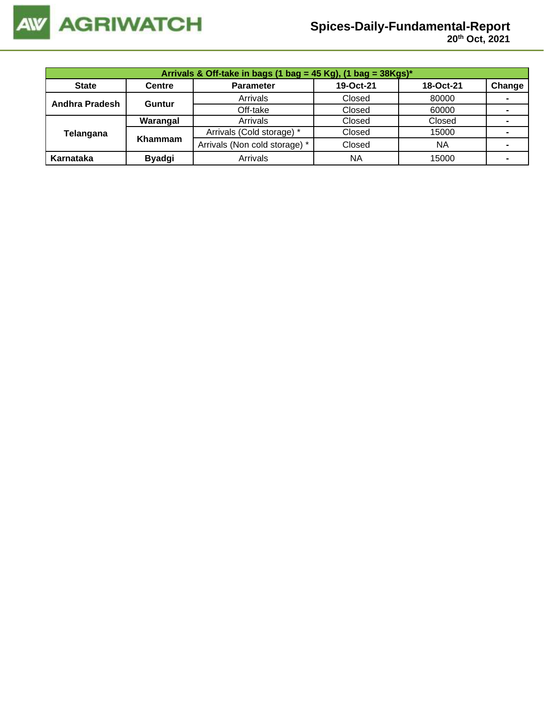

| Arrivals & Off-take in bags (1 bag = 45 Kg), (1 bag = 38Kgs)* |               |                               |           |           |                |  |  |
|---------------------------------------------------------------|---------------|-------------------------------|-----------|-----------|----------------|--|--|
| <b>State</b>                                                  | <b>Centre</b> | <b>Parameter</b>              | 19-Oct-21 | 18-Oct-21 | Change         |  |  |
| Andhra Pradesh                                                | <b>Guntur</b> | Arrivals                      | Closed    | 80000     | $\blacksquare$ |  |  |
|                                                               |               | Off-take                      | Closed    | 60000     |                |  |  |
|                                                               | Warangal      | Arrivals                      | Closed    | Closed    |                |  |  |
| Telangana                                                     | Khammam       | Arrivals (Cold storage) *     | Closed    | 15000     |                |  |  |
|                                                               |               | Arrivals (Non cold storage) * | Closed    | <b>NA</b> |                |  |  |
| Karnataka                                                     | <b>Byadgi</b> | Arrivals                      | <b>NA</b> | 15000     | -              |  |  |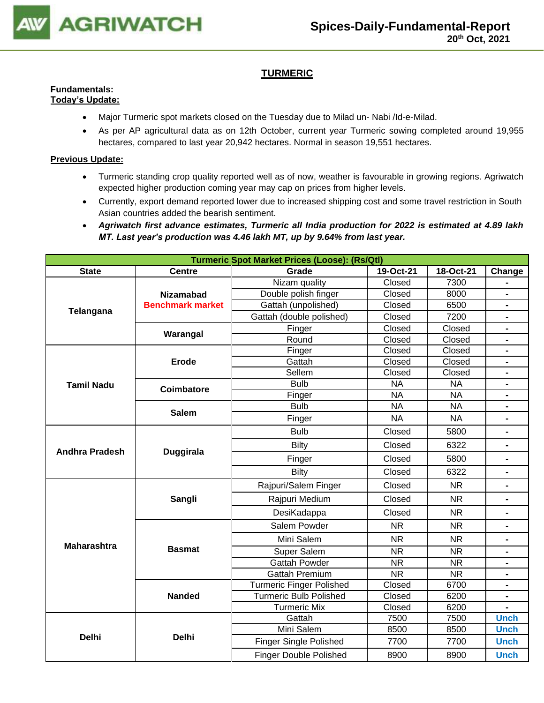

## **TURMERIC**

#### **Fundamentals: Today's Update:**

- Major Turmeric spot markets closed on the Tuesday due to Milad un- Nabi /Id-e-Milad.
- As per AP agricultural data as on 12th October, current year Turmeric sowing completed around 19,955 hectares, compared to last year 20,942 hectares. Normal in season 19,551 hectares.

- Turmeric standing crop quality reported well as of now, weather is favourable in growing regions. Agriwatch expected higher production coming year may cap on prices from higher levels.
- Currently, export demand reported lower due to increased shipping cost and some travel restriction in South Asian countries added the bearish sentiment.
- *Agriwatch first advance estimates, Turmeric all India production for 2022 is estimated at 4.89 lakh MT. Last year's production was 4.46 lakh MT, up by 9.64% from last year.*

| <b>Turmeric Spot Market Prices (Loose): (Rs/Qtl)</b> |                         |                                                                                                                                                                                                                                                                                                                                                                                                                                                                                                                                                                                                                                                                                                                                                                                                                                                                                                                                                                                                                                                                                                                                                                                                            |        |           |                |  |  |
|------------------------------------------------------|-------------------------|------------------------------------------------------------------------------------------------------------------------------------------------------------------------------------------------------------------------------------------------------------------------------------------------------------------------------------------------------------------------------------------------------------------------------------------------------------------------------------------------------------------------------------------------------------------------------------------------------------------------------------------------------------------------------------------------------------------------------------------------------------------------------------------------------------------------------------------------------------------------------------------------------------------------------------------------------------------------------------------------------------------------------------------------------------------------------------------------------------------------------------------------------------------------------------------------------------|--------|-----------|----------------|--|--|
| <b>State</b>                                         | <b>Centre</b>           | 19-Oct-21<br>Grade                                                                                                                                                                                                                                                                                                                                                                                                                                                                                                                                                                                                                                                                                                                                                                                                                                                                                                                                                                                                                                                                                                                                                                                         |        | 18-Oct-21 | Change         |  |  |
|                                                      |                         | Nizam quality                                                                                                                                                                                                                                                                                                                                                                                                                                                                                                                                                                                                                                                                                                                                                                                                                                                                                                                                                                                                                                                                                                                                                                                              | Closed | 7300      |                |  |  |
| Telangana                                            | <b>Nizamabad</b>        | Double polish finger                                                                                                                                                                                                                                                                                                                                                                                                                                                                                                                                                                                                                                                                                                                                                                                                                                                                                                                                                                                                                                                                                                                                                                                       | Closed | 8000      |                |  |  |
|                                                      | <b>Benchmark market</b> | Gattah (unpolished)                                                                                                                                                                                                                                                                                                                                                                                                                                                                                                                                                                                                                                                                                                                                                                                                                                                                                                                                                                                                                                                                                                                                                                                        | Closed | 6500      |                |  |  |
|                                                      |                         | Gattah (double polished)                                                                                                                                                                                                                                                                                                                                                                                                                                                                                                                                                                                                                                                                                                                                                                                                                                                                                                                                                                                                                                                                                                                                                                                   | Closed | 7200      | $\blacksquare$ |  |  |
|                                                      | Warangal                | Finger                                                                                                                                                                                                                                                                                                                                                                                                                                                                                                                                                                                                                                                                                                                                                                                                                                                                                                                                                                                                                                                                                                                                                                                                     |        |           | $\blacksquare$ |  |  |
|                                                      |                         | Closed<br>Closed<br>Round<br>Closed<br>Closed<br>$\blacksquare$<br>Closed<br>Closed<br>Finger<br>$\blacksquare$<br>Closed<br>Closed<br>Gattah<br>$\blacksquare$<br>Closed<br>Closed<br>Sellem<br>$\blacksquare$<br><b>NA</b><br><b>Bulb</b><br><b>NA</b><br>$\blacksquare$<br><b>NA</b><br><b>NA</b><br>Finger<br>$\blacksquare$<br><b>Bulb</b><br><b>NA</b><br><b>NA</b><br><b>NA</b><br><b>NA</b><br>Finger<br>$\blacksquare$<br><b>Bulb</b><br>Closed<br>5800<br>$\blacksquare$<br>Closed<br>6322<br><b>Bilty</b><br>$\blacksquare$<br>Closed<br>5800<br>Finger<br>$\blacksquare$<br><b>Bilty</b><br>Closed<br>6322<br>$\blacksquare$<br>Rajpuri/Salem Finger<br>Closed<br><b>NR</b><br>$\blacksquare$<br>Rajpuri Medium<br>Closed<br><b>NR</b><br>$\qquad \qquad \blacksquare$<br>Closed<br><b>NR</b><br>DesiKadappa<br>Ξ.<br>Salem Powder<br><b>NR</b><br><b>NR</b><br>$\blacksquare$<br><b>NR</b><br>Mini Salem<br><b>NR</b><br>$\blacksquare$<br>Super Salem<br><b>NR</b><br><b>NR</b><br><b>Gattah Powder</b><br><b>NR</b><br><b>NR</b><br><b>NR</b><br><b>NR</b><br><b>Gattah Premium</b><br><b>Turmeric Finger Polished</b><br>Closed<br>6700<br><b>Turmeric Bulb Polished</b><br>Closed<br>6200 |        |           |                |  |  |
|                                                      |                         |                                                                                                                                                                                                                                                                                                                                                                                                                                                                                                                                                                                                                                                                                                                                                                                                                                                                                                                                                                                                                                                                                                                                                                                                            |        |           |                |  |  |
|                                                      | <b>Erode</b>            |                                                                                                                                                                                                                                                                                                                                                                                                                                                                                                                                                                                                                                                                                                                                                                                                                                                                                                                                                                                                                                                                                                                                                                                                            |        |           |                |  |  |
|                                                      |                         |                                                                                                                                                                                                                                                                                                                                                                                                                                                                                                                                                                                                                                                                                                                                                                                                                                                                                                                                                                                                                                                                                                                                                                                                            |        |           |                |  |  |
| <b>Tamil Nadu</b>                                    | <b>Coimbatore</b>       |                                                                                                                                                                                                                                                                                                                                                                                                                                                                                                                                                                                                                                                                                                                                                                                                                                                                                                                                                                                                                                                                                                                                                                                                            |        |           |                |  |  |
|                                                      |                         |                                                                                                                                                                                                                                                                                                                                                                                                                                                                                                                                                                                                                                                                                                                                                                                                                                                                                                                                                                                                                                                                                                                                                                                                            |        |           |                |  |  |
|                                                      | <b>Salem</b>            |                                                                                                                                                                                                                                                                                                                                                                                                                                                                                                                                                                                                                                                                                                                                                                                                                                                                                                                                                                                                                                                                                                                                                                                                            |        |           |                |  |  |
|                                                      |                         |                                                                                                                                                                                                                                                                                                                                                                                                                                                                                                                                                                                                                                                                                                                                                                                                                                                                                                                                                                                                                                                                                                                                                                                                            |        |           |                |  |  |
|                                                      |                         |                                                                                                                                                                                                                                                                                                                                                                                                                                                                                                                                                                                                                                                                                                                                                                                                                                                                                                                                                                                                                                                                                                                                                                                                            |        |           |                |  |  |
| <b>Andhra Pradesh</b>                                | <b>Duggirala</b>        |                                                                                                                                                                                                                                                                                                                                                                                                                                                                                                                                                                                                                                                                                                                                                                                                                                                                                                                                                                                                                                                                                                                                                                                                            |        |           |                |  |  |
|                                                      |                         |                                                                                                                                                                                                                                                                                                                                                                                                                                                                                                                                                                                                                                                                                                                                                                                                                                                                                                                                                                                                                                                                                                                                                                                                            |        |           |                |  |  |
|                                                      |                         |                                                                                                                                                                                                                                                                                                                                                                                                                                                                                                                                                                                                                                                                                                                                                                                                                                                                                                                                                                                                                                                                                                                                                                                                            |        |           |                |  |  |
|                                                      |                         |                                                                                                                                                                                                                                                                                                                                                                                                                                                                                                                                                                                                                                                                                                                                                                                                                                                                                                                                                                                                                                                                                                                                                                                                            |        |           |                |  |  |
|                                                      | Sangli                  |                                                                                                                                                                                                                                                                                                                                                                                                                                                                                                                                                                                                                                                                                                                                                                                                                                                                                                                                                                                                                                                                                                                                                                                                            |        |           |                |  |  |
|                                                      |                         |                                                                                                                                                                                                                                                                                                                                                                                                                                                                                                                                                                                                                                                                                                                                                                                                                                                                                                                                                                                                                                                                                                                                                                                                            |        |           |                |  |  |
|                                                      |                         |                                                                                                                                                                                                                                                                                                                                                                                                                                                                                                                                                                                                                                                                                                                                                                                                                                                                                                                                                                                                                                                                                                                                                                                                            |        |           |                |  |  |
| <b>Maharashtra</b>                                   |                         |                                                                                                                                                                                                                                                                                                                                                                                                                                                                                                                                                                                                                                                                                                                                                                                                                                                                                                                                                                                                                                                                                                                                                                                                            |        |           |                |  |  |
|                                                      | <b>Basmat</b>           |                                                                                                                                                                                                                                                                                                                                                                                                                                                                                                                                                                                                                                                                                                                                                                                                                                                                                                                                                                                                                                                                                                                                                                                                            |        |           |                |  |  |
|                                                      |                         |                                                                                                                                                                                                                                                                                                                                                                                                                                                                                                                                                                                                                                                                                                                                                                                                                                                                                                                                                                                                                                                                                                                                                                                                            |        |           |                |  |  |
|                                                      |                         |                                                                                                                                                                                                                                                                                                                                                                                                                                                                                                                                                                                                                                                                                                                                                                                                                                                                                                                                                                                                                                                                                                                                                                                                            |        |           |                |  |  |
|                                                      |                         |                                                                                                                                                                                                                                                                                                                                                                                                                                                                                                                                                                                                                                                                                                                                                                                                                                                                                                                                                                                                                                                                                                                                                                                                            |        |           |                |  |  |
|                                                      | <b>Nanded</b>           |                                                                                                                                                                                                                                                                                                                                                                                                                                                                                                                                                                                                                                                                                                                                                                                                                                                                                                                                                                                                                                                                                                                                                                                                            |        |           |                |  |  |
|                                                      |                         | <b>Turmeric Mix</b>                                                                                                                                                                                                                                                                                                                                                                                                                                                                                                                                                                                                                                                                                                                                                                                                                                                                                                                                                                                                                                                                                                                                                                                        | Closed | 6200      |                |  |  |
|                                                      |                         | Gattah                                                                                                                                                                                                                                                                                                                                                                                                                                                                                                                                                                                                                                                                                                                                                                                                                                                                                                                                                                                                                                                                                                                                                                                                     | 7500   | 7500      | <b>Unch</b>    |  |  |
| <b>Delhi</b>                                         | <b>Delhi</b>            | Mini Salem                                                                                                                                                                                                                                                                                                                                                                                                                                                                                                                                                                                                                                                                                                                                                                                                                                                                                                                                                                                                                                                                                                                                                                                                 | 8500   | 8500      | <b>Unch</b>    |  |  |
|                                                      |                         | <b>Finger Single Polished</b><br>7700<br>7700                                                                                                                                                                                                                                                                                                                                                                                                                                                                                                                                                                                                                                                                                                                                                                                                                                                                                                                                                                                                                                                                                                                                                              |        |           | <b>Unch</b>    |  |  |
|                                                      |                         | <b>Finger Double Polished</b>                                                                                                                                                                                                                                                                                                                                                                                                                                                                                                                                                                                                                                                                                                                                                                                                                                                                                                                                                                                                                                                                                                                                                                              | 8900   | 8900      | <b>Unch</b>    |  |  |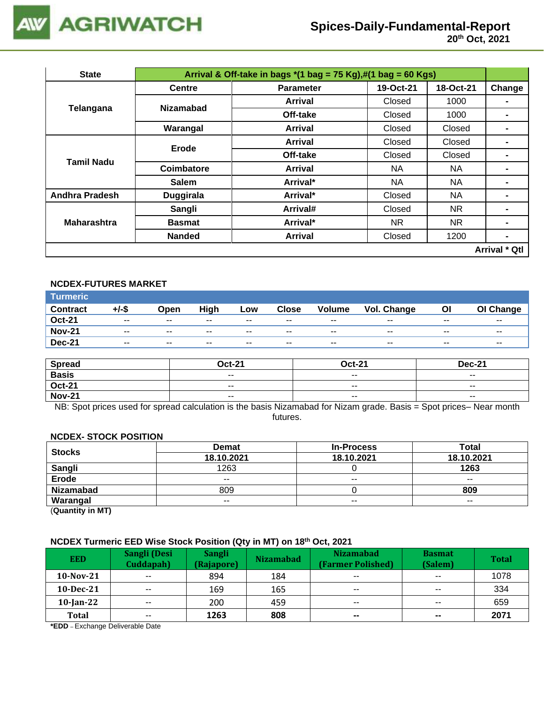

| <b>State</b>                                                                                                                                                                                                  |               | Arrival & Off-take in bags $*(1 \text{ bag} = 75 \text{ Kg}), \#(1 \text{ bag} = 60 \text{ Kg})$ |               |           |                      |
|---------------------------------------------------------------------------------------------------------------------------------------------------------------------------------------------------------------|---------------|--------------------------------------------------------------------------------------------------|---------------|-----------|----------------------|
|                                                                                                                                                                                                               | <b>Centre</b> | <b>Parameter</b>                                                                                 | 19-Oct-21     | 18-Oct-21 | Change               |
|                                                                                                                                                                                                               |               | Arrival                                                                                          | Closed        | 1000      |                      |
|                                                                                                                                                                                                               |               | Off-take                                                                                         | Closed        | 1000      |                      |
| <b>Nizamabad</b><br>Telangana<br>Warangal<br>Erode<br><b>Tamil Nadu</b><br>Coimbatore<br><b>Salem</b><br><b>Andhra Pradesh</b><br>Duggirala<br>Sangli<br><b>Maharashtra</b><br><b>Basmat</b><br><b>Nanded</b> | Arrival       | Closed                                                                                           | Closed        |           |                      |
|                                                                                                                                                                                                               |               | Arrival                                                                                          | <b>Closed</b> | Closed    |                      |
|                                                                                                                                                                                                               |               | Off-take                                                                                         | Closed        | Closed    |                      |
|                                                                                                                                                                                                               |               | Arrival                                                                                          | NA.           | NA.       | $\blacksquare$       |
|                                                                                                                                                                                                               |               | Arrival*                                                                                         | NA.           | NA        | $\blacksquare$       |
|                                                                                                                                                                                                               |               | Arrival*                                                                                         | <b>Closed</b> | NA        | -                    |
|                                                                                                                                                                                                               |               | Arrival#                                                                                         | Closed        | NR.       |                      |
|                                                                                                                                                                                                               |               | Arrival*                                                                                         | NR.           | NR.       | $\blacksquare$       |
|                                                                                                                                                                                                               |               | <b>Arrival</b>                                                                                   | Closed        | 1200      | $\blacksquare$       |
|                                                                                                                                                                                                               |               |                                                                                                  |               |           | <b>Arrival * Qtl</b> |

## **NCDEX-FUTURES MARKET**

| ∣Turmeric <sup>∣</sup> |                          |       |       |        |              |               |             |       |           |
|------------------------|--------------------------|-------|-------|--------|--------------|---------------|-------------|-------|-----------|
| <b>Contract</b>        | +/-\$                    | Open  | High  | Low    | <b>Close</b> | <b>Volume</b> | Vol. Change | ΟI    | OI Change |
| <b>Oct-21</b>          | $\sim$ $\sim$            | $- -$ | $- -$ | $\sim$ | $- -$        | $\sim$ $\sim$ | $- -$       | $- -$ | $- -$     |
| <b>Nov-21</b>          | $- -$                    | $- -$ | $- -$ | $- -$  | $- -$        | $- -$         | $- -$       | $- -$ | $- -$     |
| <b>Dec-21</b>          | $\overline{\phantom{a}}$ | $- -$ | $- -$ | $- -$  | $- -$        | $- -$         | $- -$       | $- -$ | $- -$     |

| <b>Spread</b> | <b>Oct-21</b> | <b>Oct-21</b> | <b>Dec-21</b>            |
|---------------|---------------|---------------|--------------------------|
| <b>Basis</b>  | $- -$         | $- -$         | $- -$                    |
| <b>Oct-21</b> | $\sim$ $\sim$ | $- -$         | $\overline{\phantom{a}}$ |
| <b>Nov-21</b> | $\sim$ $\sim$ | $\sim$ $\sim$ | $\overline{\phantom{a}}$ |

NB: Spot prices used for spread calculation is the basis Nizamabad for Nizam grade. Basis = Spot prices– Near month futures.

#### **NCDEX- STOCK POSITION**

| <b>Stocks</b>    | <b>Demat</b> | <b>In-Process</b> | <b>Total</b> |
|------------------|--------------|-------------------|--------------|
|                  | 18.10.2021   | 18.10.2021        | 18.10.2021   |
| Sangli           | 1263         |                   | 1263         |
| Erode            | $- -$        | $- -$             | $- -$        |
| <b>Nizamabad</b> | 809          |                   | 809          |
| Warangal         | $- -$        | $- -$             | $- -$        |

(**Quantity in MT)**

#### **NCDEX Turmeric EED Wise Stock Position (Qty in MT) on 18 th Oct, 2021**

| <b>EED</b>   | <b>Sangli (Desi</b><br>Cuddapah) | <b>Sangli</b><br>(Rajapore) | <b>Nizamabad</b> | <b>Nizamabad</b><br>(Farmer Polished) | <b>Basmat</b><br>(Salem) | <b>Total</b> |
|--------------|----------------------------------|-----------------------------|------------------|---------------------------------------|--------------------------|--------------|
| $10$ -Nov-21 | $- -$                            | 894                         | 184              | $\overline{\phantom{a}}$              | $- -$                    | 1078         |
| $10$ -Dec-21 | $\sim$ $\sim$                    | 169                         | 165              | $\overline{\phantom{a}}$              | $\overline{\phantom{m}}$ | 334          |
| $10$ -Jan-22 | $- -$                            | 200                         | 459              | $- -$                                 | $- -$                    | 659          |
| <b>Total</b> | $- -$                            | 1263                        | 808              | $\sim$                                | $\sim$                   | 2071         |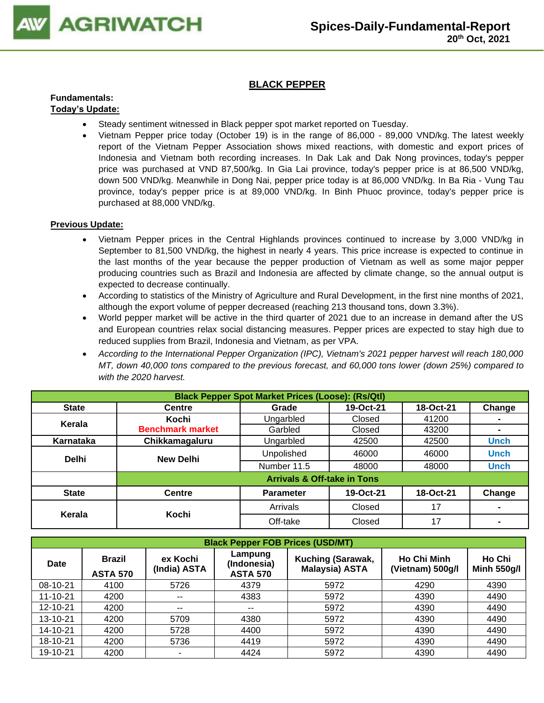

## **BLACK PEPPER**

#### **Fundamentals: Today's Update:**

- Steady sentiment witnessed in Black pepper spot market reported on Tuesday.
- Vietnam Pepper price today (October 19) is in the range of 86,000 89,000 VND/kg. The latest weekly report of the Vietnam Pepper Association shows mixed reactions, with domestic and export prices of Indonesia and Vietnam both recording increases. In Dak Lak and Dak Nong provinces, today's pepper price was purchased at VND 87,500/kg. In Gia Lai province, today's pepper price is at 86,500 VND/kg, down 500 VND/kg. Meanwhile in Dong Nai, pepper price today is at 86,000 VND/kg. In Ba Ria - Vung Tau province, today's pepper price is at 89,000 VND/kg. In Binh Phuoc province, today's pepper price is purchased at 88,000 VND/kg.

- Vietnam Pepper prices in the Central Highlands provinces continued to increase by 3,000 VND/kg in September to 81,500 VND/kg, the highest in nearly 4 years. This price increase is expected to continue in the last months of the year because the pepper production of Vietnam as well as some major pepper producing countries such as Brazil and Indonesia are affected by climate change, so the annual output is expected to decrease continually.
- According to statistics of the Ministry of Agriculture and Rural Development, in the first nine months of 2021, although the export volume of pepper decreased (reaching 213 thousand tons, down 3.3%).
- World pepper market will be active in the third quarter of 2021 due to an increase in demand after the US and European countries relax social distancing measures. Pepper prices are expected to stay high due to reduced supplies from Brazil, Indonesia and Vietnam, as per VPA.
- *According to the International Pepper Organization (IPC), Vietnam's 2021 pepper harvest will reach 180,000 MT, down 40,000 tons compared to the previous forecast, and 60,000 tons lower (down 25%) compared to with the 2020 harvest.*

|              | <b>Black Pepper Spot Market Prices (Loose): (Rs/Qtl)</b> |                                        |           |           |                |  |  |  |  |
|--------------|----------------------------------------------------------|----------------------------------------|-----------|-----------|----------------|--|--|--|--|
| <b>State</b> | Centre                                                   | Grade                                  | 19-Oct-21 | 18-Oct-21 | Change         |  |  |  |  |
| Kerala       | Kochi                                                    | Ungarbled                              | Closed    | 41200     | ۰              |  |  |  |  |
|              | <b>Benchmark market</b>                                  | Garbled                                | Closed    | 43200     | $\blacksquare$ |  |  |  |  |
| Karnataka    | Chikkamagaluru                                           | Ungarbled                              | 42500     | 42500     | <b>Unch</b>    |  |  |  |  |
| <b>Delhi</b> | <b>New Delhi</b>                                         | Unpolished                             | 46000     | 46000     | <b>Unch</b>    |  |  |  |  |
|              |                                                          | Number 11.5                            | 48000     | 48000     | <b>Unch</b>    |  |  |  |  |
|              |                                                          | <b>Arrivals &amp; Off-take in Tons</b> |           |           |                |  |  |  |  |
| <b>State</b> | Centre                                                   | <b>Parameter</b>                       | 19-Oct-21 | 18-Oct-21 | Change         |  |  |  |  |
| Kerala       | Kochi                                                    | Arrivals                               | Closed    | 17        | $\blacksquare$ |  |  |  |  |
|              |                                                          | Off-take                               | Closed    | 17        |                |  |  |  |  |

|          | <b>Black Pepper FOB Prices (USD/MT)</b> |                          |                                           |                                            |                                        |                              |  |  |  |  |
|----------|-----------------------------------------|--------------------------|-------------------------------------------|--------------------------------------------|----------------------------------------|------------------------------|--|--|--|--|
| Date     | <b>Brazil</b><br><b>ASTA 570</b>        | ex Kochi<br>(India) ASTA | Lampung<br>(Indonesia)<br><b>ASTA 570</b> | Kuching (Sarawak,<br><b>Malaysia) ASTA</b> | <b>Ho Chi Minh</b><br>(Vietnam) 500g/l | Ho Chi<br><b>Minh 550g/l</b> |  |  |  |  |
| 08-10-21 | 4100                                    | 5726                     | 4379                                      | 5972                                       | 4290                                   | 4390                         |  |  |  |  |
| 11-10-21 | 4200                                    | --                       | 4383                                      | 5972                                       | 4390                                   | 4490                         |  |  |  |  |
| 12-10-21 | 4200                                    | --                       | $- -$                                     | 5972                                       | 4390                                   | 4490                         |  |  |  |  |
| 13-10-21 | 4200                                    | 5709                     | 4380                                      | 5972                                       | 4390                                   | 4490                         |  |  |  |  |
| 14-10-21 | 4200                                    | 5728                     | 4400                                      | 5972                                       | 4390                                   | 4490                         |  |  |  |  |
| 18-10-21 | 4200                                    | 5736                     | 4419                                      | 5972                                       | 4390                                   | 4490                         |  |  |  |  |
| 19-10-21 | 4200                                    | ۰                        | 4424                                      | 5972                                       | 4390                                   | 4490                         |  |  |  |  |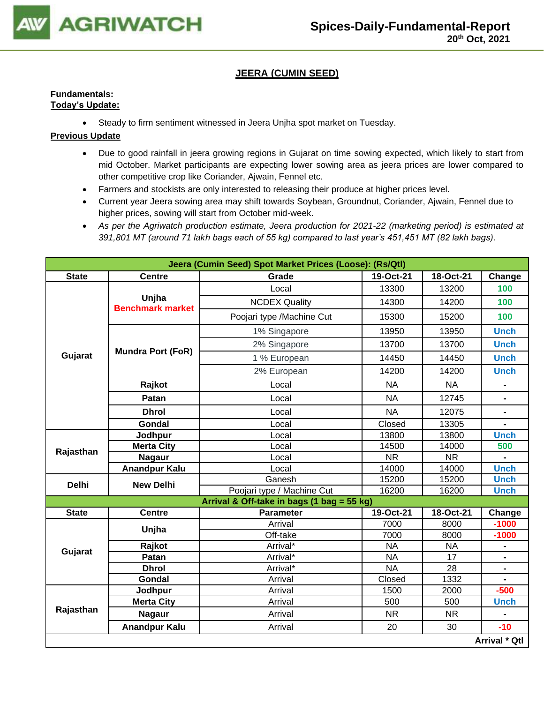

## **JEERA (CUMIN SEED)**

## **Fundamentals: Today's Update:**

• Steady to firm sentiment witnessed in Jeera Unjha spot market on Tuesday.

- Due to good rainfall in jeera growing regions in Gujarat on time sowing expected, which likely to start from mid October. Market participants are expecting lower sowing area as jeera prices are lower compared to other competitive crop like Coriander, Ajwain, Fennel etc.
- Farmers and stockists are only interested to releasing their produce at higher prices level.
- Current year Jeera sowing area may shift towards Soybean, Groundnut, Coriander, Ajwain, Fennel due to higher prices, sowing will start from October mid-week.
- *As per the Agriwatch production estimate, Jeera production for 2021-22 (marketing period) is estimated at 391,801 MT (around 71 lakh bags each of 55 kg) compared to last year's 451,451 MT (82 lakh bags).*

|                           |                                  | Jeera (Cumin Seed) Spot Market Prices (Loose): (Rs/Qtl) |           |           |                              |
|---------------------------|----------------------------------|---------------------------------------------------------|-----------|-----------|------------------------------|
| <b>State</b>              | <b>Centre</b>                    | Grade                                                   | 19-Oct-21 | 18-Oct-21 | Change                       |
|                           |                                  | Local                                                   | 13300     | 13200     | 100                          |
|                           | Unjha<br><b>Benchmark market</b> | <b>NCDEX Quality</b>                                    | 14300     | 14200     | 100                          |
|                           |                                  | Poojari type /Machine Cut                               | 15300     | 15200     | 100                          |
|                           |                                  | 1% Singapore                                            | 13950     | 13950     | <b>Unch</b>                  |
|                           | <b>Mundra Port (FoR)</b>         | 2% Singapore                                            | 13700     | 13700     | <b>Unch</b>                  |
| Gujarat                   |                                  | 1 % European                                            | 14450     | 14450     | <b>Unch</b>                  |
|                           |                                  | 2% European                                             | 14200     | 14200     | <b>Unch</b>                  |
|                           | Rajkot                           | Local                                                   | <b>NA</b> | <b>NA</b> | $\blacksquare$               |
|                           | Patan                            | Local                                                   | <b>NA</b> | 12745     |                              |
|                           | <b>Dhrol</b>                     | Local                                                   | <b>NA</b> | 12075     | $\blacksquare$               |
|                           | Gondal                           | Local                                                   | Closed    | 13305     |                              |
| Rajasthan<br><b>Delhi</b> | Jodhpur                          | Local                                                   | 13800     | 13800     | <b>Unch</b>                  |
|                           | <b>Merta City</b>                | Local                                                   | 14500     | 14000     | 500                          |
|                           | <b>Nagaur</b>                    | Local                                                   | <b>NR</b> | <b>NR</b> |                              |
|                           | <b>Anandpur Kalu</b>             | Local                                                   | 14000     | 14000     | <b>Unch</b>                  |
|                           | <b>New Delhi</b>                 | Ganesh                                                  | 15200     | 15200     | <b>Unch</b>                  |
|                           |                                  | Poojari type / Machine Cut                              | 16200     | 16200     | <b>Unch</b>                  |
|                           |                                  | Arrival & Off-take in bags (1 bag = 55 kg)              |           |           |                              |
| <b>State</b>              | <b>Centre</b>                    | <b>Parameter</b>                                        | 19-Oct-21 | 18-Oct-21 | Change                       |
|                           |                                  | Arrival                                                 | 7000      | 8000      | $-1000$                      |
|                           | Unjha                            | Off-take                                                | 7000      | 8000      | $-1000$                      |
|                           | Rajkot                           | Arrival*                                                | <b>NA</b> | <b>NA</b> |                              |
| Gujarat                   | Patan                            | Arrival*                                                | <b>NA</b> | 17        | $\qquad \qquad \blacksquare$ |
|                           | <b>Dhrol</b>                     | Arrival*                                                | <b>NA</b> | 28        | $\blacksquare$               |
|                           | Gondal                           | Arrival                                                 | Closed    | 1332      |                              |
|                           | Jodhpur                          | Arrival                                                 | 1500      | 2000      | $-500$                       |
|                           | <b>Merta City</b>                | Arrival                                                 | 500       | 500       | <b>Unch</b>                  |
| Rajasthan                 | <b>Nagaur</b>                    | Arrival                                                 | <b>NR</b> | <b>NR</b> |                              |
|                           | <b>Anandpur Kalu</b>             | Arrival                                                 | 20        | 30        | $-10$                        |
|                           |                                  |                                                         |           |           | Arrival * Qtl                |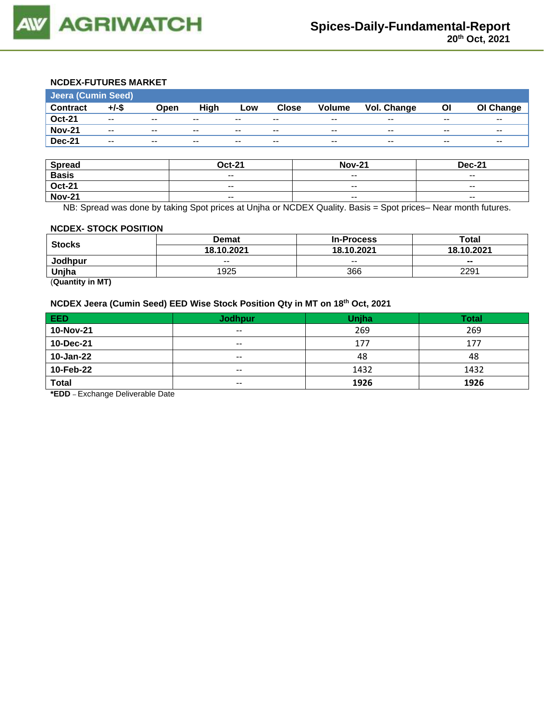

## **NCDEX-FUTURES MARKET**

| <b>Jeera (Cumin Seed)</b> |          |       |       |       |              |                          |             |       |           |
|---------------------------|----------|-------|-------|-------|--------------|--------------------------|-------------|-------|-----------|
| <b>Contract</b>           | $+/-$ \$ | Open  | High  | Low   | <b>Close</b> | <b>Volume</b>            | Vol. Change | ΟI    | OI Change |
| <b>Oct-21</b>             | $- -$    | $- -$ | $- -$ | $- -$ | $- -$        | $- -$                    | $- -$       | $- -$ | $- -$     |
| <b>Nov-21</b>             | $- -$    | $- -$ | $- -$ | $- -$ | $- -$        | $\overline{\phantom{a}}$ | $- -$       | $- -$ | $- -$     |
| <b>Dec-21</b>             | $- -$    | $- -$ | $- -$ | $- -$ | $- -$        | $- -$                    | $- -$       | $- -$ | $- -$     |

| <b>Spread</b> | <b>Oct-21</b> | <b>Nov-21</b>            | <b>Dec-21</b> |
|---------------|---------------|--------------------------|---------------|
| <b>Basis</b>  | $\sim$ $\sim$ | $\sim$                   | $- -$         |
| <b>Oct-21</b> | $- -$         | $\overline{\phantom{a}}$ | $- -$         |
| <b>Nov-21</b> | $- -$         | $\overline{\phantom{a}}$ | $- -$         |

NB: Spread was done by taking Spot prices at Unjha or NCDEX Quality. Basis = Spot prices– Near month futures.

#### **NCDEX- STOCK POSITION**

|               | Demat      | <b>In-Process</b> | Total      |  |
|---------------|------------|-------------------|------------|--|
| <b>Stocks</b> | 18.10.2021 | 18.10.2021        | 18.10.2021 |  |
| Jodhpur       | $- -$      | $- -$             | --         |  |
| Unjha         | 1925       | 366               | 2291       |  |

(**Quantity in MT)**

#### **NCDEX Jeera (Cumin Seed) EED Wise Stock Position Qty in MT on 18 th Oct, 2021**

| <b>EED</b>   | <b>Jodhpur</b> | <b>Unjha</b> | <b>Total</b> |
|--------------|----------------|--------------|--------------|
| 10-Nov-21    | $\sim$ $\sim$  | 269          | 269          |
| 10-Dec-21    | $\sim$ $\sim$  | 177          | 177          |
| 10-Jan-22    | $- -$          | 48           | 48           |
| 10-Feb-22    | $- -$          | 1432         | 1432         |
| <b>Total</b> | $\sim$ $\sim$  | 1926         | 1926         |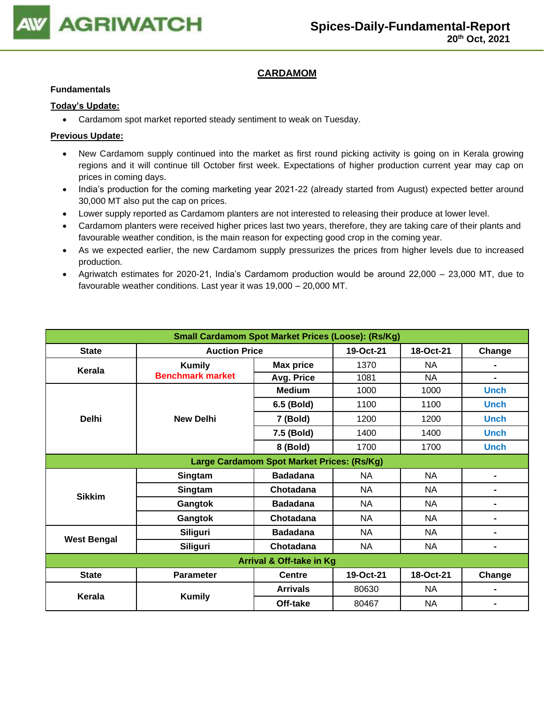

## **CARDAMOM**

### **Fundamentals**

### **Today's Update:**

• Cardamom spot market reported steady sentiment to weak on Tuesday.

- New Cardamom supply continued into the market as first round picking activity is going on in Kerala growing regions and it will continue till October first week. Expectations of higher production current year may cap on prices in coming days.
- India's production for the coming marketing year 2021-22 (already started from August) expected better around 30,000 MT also put the cap on prices.
- Lower supply reported as Cardamom planters are not interested to releasing their produce at lower level.
- Cardamom planters were received higher prices last two years, therefore, they are taking care of their plants and favourable weather condition, is the main reason for expecting good crop in the coming year.
- As we expected earlier, the new Cardamom supply pressurizes the prices from higher levels due to increased production.
- Agriwatch estimates for 2020-21, India's Cardamom production would be around 22,000 23,000 MT, due to favourable weather conditions. Last year it was 19,000 – 20,000 MT.

| <b>Small Cardamom Spot Market Prices (Loose): (Rs/Kg)</b> |                                            |                  |           |           |                          |  |  |  |
|-----------------------------------------------------------|--------------------------------------------|------------------|-----------|-----------|--------------------------|--|--|--|
| <b>State</b>                                              | <b>Auction Price</b>                       |                  | 19-Oct-21 | 18-Oct-21 | Change                   |  |  |  |
| Kerala                                                    | <b>Kumily</b>                              | <b>Max price</b> | 1370      | NA        |                          |  |  |  |
|                                                           | <b>Benchmark market</b>                    | Avg. Price       | 1081      | <b>NA</b> | $\overline{\phantom{0}}$ |  |  |  |
|                                                           |                                            | <b>Medium</b>    | 1000      | 1000      | <b>Unch</b>              |  |  |  |
|                                                           |                                            | 6.5 (Bold)       | 1100      | 1100      | <b>Unch</b>              |  |  |  |
| <b>Delhi</b>                                              | <b>New Delhi</b>                           | 7 (Bold)         | 1200      | 1200      | <b>Unch</b>              |  |  |  |
|                                                           |                                            | 7.5 (Bold)       | 1400      | 1400      | <b>Unch</b>              |  |  |  |
|                                                           |                                            | 8 (Bold)         | 1700      | 1700      | <b>Unch</b>              |  |  |  |
|                                                           | Large Cardamom Spot Market Prices: (Rs/Kg) |                  |           |           |                          |  |  |  |
|                                                           | Singtam                                    | <b>Badadana</b>  | NA        | <b>NA</b> | Ξ.                       |  |  |  |
| <b>Sikkim</b>                                             | Singtam                                    | Chotadana        | <b>NA</b> | <b>NA</b> | ۰                        |  |  |  |
|                                                           | Gangtok                                    | <b>Badadana</b>  | NA        | NA        | Ξ.                       |  |  |  |
|                                                           | Gangtok                                    | Chotadana        | <b>NA</b> | NA        | Ξ.                       |  |  |  |
|                                                           | Siliguri                                   | <b>Badadana</b>  | <b>NA</b> | <b>NA</b> | -                        |  |  |  |
| <b>West Bengal</b>                                        | Siliguri                                   | Chotadana        | <b>NA</b> | <b>NA</b> | Ξ.                       |  |  |  |
|                                                           | <b>Arrival &amp; Off-take in Kg</b>        |                  |           |           |                          |  |  |  |
| <b>State</b>                                              | <b>Parameter</b>                           | <b>Centre</b>    | 19-Oct-21 | 18-Oct-21 | Change                   |  |  |  |
| Kerala                                                    |                                            | <b>Arrivals</b>  | 80630     | NA        |                          |  |  |  |
|                                                           | <b>Kumily</b>                              | Off-take         | 80467     | <b>NA</b> |                          |  |  |  |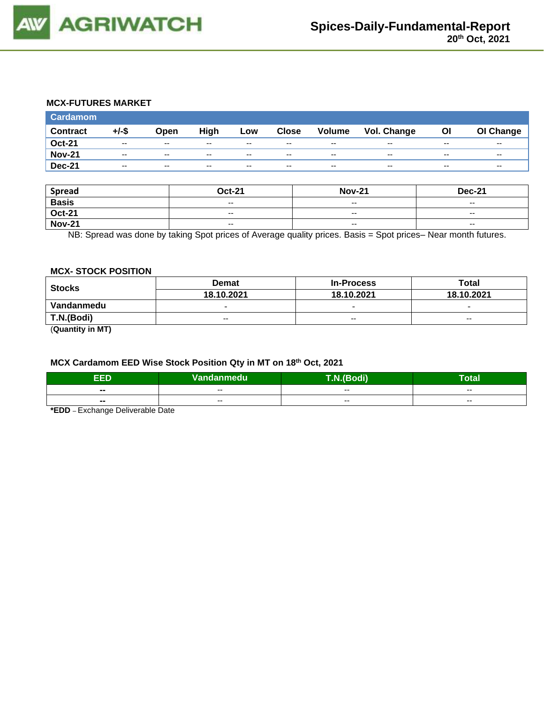

### **MCX-FUTURES MARKET**

| Cardamom        |          |               |      |       |              |                          |                    |       |           |
|-----------------|----------|---------------|------|-------|--------------|--------------------------|--------------------|-------|-----------|
| <b>Contract</b> | $+/-$ \$ | Open          | High | Low   | <b>Close</b> | <b>Volume</b>            | <b>Vol. Change</b> | ΟI    | OI Change |
| <b>Oct-21</b>   | $- -$    | $- -$         | --   | $- -$ | $- -$        | $- -$                    | $- -$              | $- -$ | $- -$     |
| <b>Nov-21</b>   | $- -$    | $- -$         | $-$  | $-$   | $- -$        | $-$                      | $- -$              | $- -$ | $- -$     |
| <b>Dec-21</b>   | $- -$    | $\sim$ $\sim$ | --   | $-$   | $- -$        | $\overline{\phantom{a}}$ | $- -$              | $- -$ | $- -$     |

| <b>Spread</b> | <b>Oct-21</b>            | <b>Nov-21</b> | <b>Dec-21</b>            |
|---------------|--------------------------|---------------|--------------------------|
| <b>Basis</b>  | $\overline{\phantom{a}}$ | $-$           | $\overline{\phantom{a}}$ |
| <b>Oct-21</b> | $- -$                    | $- -$         | $-$                      |
| <b>Nov-21</b> | $\overline{\phantom{a}}$ | $-$           | $\overline{\phantom{a}}$ |

NB: Spread was done by taking Spot prices of Average quality prices. Basis = Spot prices– Near month futures.

#### **MCX- STOCK POSITION**

| <b>Stocks</b> | <b>Demat</b>             | <b>In-Process</b>        | Total                    |  |
|---------------|--------------------------|--------------------------|--------------------------|--|
|               | 18.10.2021               | 18.10.2021               | 18.10.2021               |  |
| Vandanmedu    | $\overline{\phantom{0}}$ | $\overline{\phantom{0}}$ | $\overline{\phantom{0}}$ |  |
| T.N.(Bodi)    | $- -$                    | $\sim$ $\sim$            | $-$                      |  |
| ----          |                          |                          |                          |  |

(**Quantity in MT)**

### **MCX Cardamom EED Wise Stock Position Qty in MT on 18 th Oct, 2021**

| п                        | Vandanmedu | $b$ di)<br>$\sim$        | -<br><b>otal</b> |
|--------------------------|------------|--------------------------|------------------|
| $\blacksquare$           | $- -$      | $- -$                    | $- -$            |
| $\overline{\phantom{a}}$ | $- -$      | $\overline{\phantom{a}}$ | $- -$            |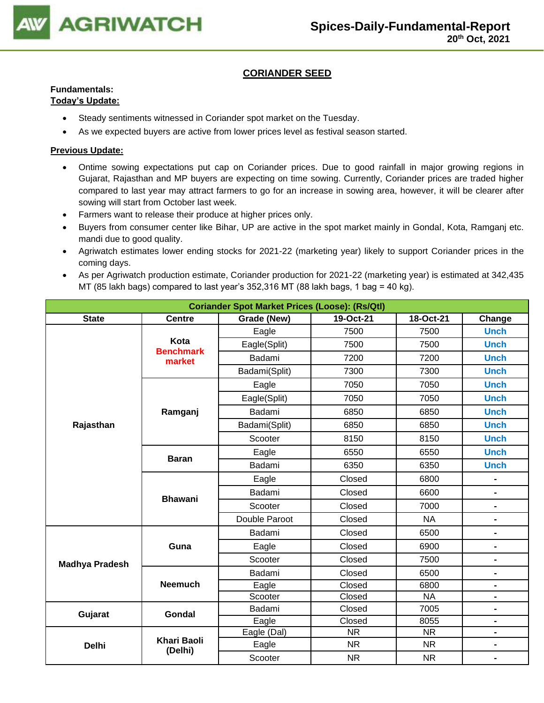

## **CORIANDER SEED**

## **Fundamentals:**

## **Today's Update:**

- Steady sentiments witnessed in Coriander spot market on the Tuesday.
- As we expected buyers are active from lower prices level as festival season started.

- Ontime sowing expectations put cap on Coriander prices. Due to good rainfall in major growing regions in Gujarat, Rajasthan and MP buyers are expecting on time sowing. Currently, Coriander prices are traded higher compared to last year may attract farmers to go for an increase in sowing area, however, it will be clearer after sowing will start from October last week.
- Farmers want to release their produce at higher prices only.
- Buyers from consumer center like Bihar, UP are active in the spot market mainly in Gondal, Kota, Ramganj etc. mandi due to good quality.
- Agriwatch estimates lower ending stocks for 2021-22 (marketing year) likely to support Coriander prices in the coming days.
- As per Agriwatch production estimate, Coriander production for 2021-22 (marketing year) is estimated at 342,435 MT (85 lakh bags) compared to last year's  $352,316$  MT (88 lakh bags, 1 bag = 40 kg).

| <b>Coriander Spot Market Prices (Loose): (Rs/Qtl)</b> |                               |               |                        |                        |                              |  |
|-------------------------------------------------------|-------------------------------|---------------|------------------------|------------------------|------------------------------|--|
| <b>State</b>                                          | <b>Centre</b>                 | Grade (New)   | Change                 |                        |                              |  |
|                                                       |                               | Eagle         | 7500                   | 7500                   | <b>Unch</b>                  |  |
|                                                       | Kota<br><b>Benchmark</b>      | Eagle(Split)  | 7500                   | 7500                   | <b>Unch</b>                  |  |
|                                                       | market                        | Badami        | 7200                   | 7200                   | <b>Unch</b>                  |  |
|                                                       |                               | Badami(Split) | 7300                   | 7300                   | <b>Unch</b>                  |  |
|                                                       |                               | Eagle         | 7050                   | 7050                   | <b>Unch</b>                  |  |
|                                                       |                               | Eagle(Split)  | 7050                   | 7050                   | <b>Unch</b>                  |  |
|                                                       | Ramganj                       | Badami        | 6850                   | 6850                   | <b>Unch</b>                  |  |
| Rajasthan                                             |                               | Badami(Split) | 6850                   | 6850                   | <b>Unch</b>                  |  |
|                                                       |                               | Scooter       | 8150                   | 8150                   | <b>Unch</b>                  |  |
|                                                       |                               | Eagle         | 6550                   | 6550                   | <b>Unch</b>                  |  |
|                                                       | <b>Baran</b>                  | Badami        | 6350                   | 6350                   | <b>Unch</b>                  |  |
|                                                       |                               | Eagle         | Closed                 | 6800                   | $\blacksquare$               |  |
|                                                       |                               | Badami        | Closed                 | 6600                   | $\qquad \qquad \blacksquare$ |  |
|                                                       | <b>Bhawani</b>                | Scooter       | Closed                 | 7000                   | $\blacksquare$               |  |
|                                                       |                               | Double Paroot | Closed                 | <b>NA</b>              | $\blacksquare$               |  |
|                                                       |                               | Badami        | Closed                 | 6500                   | $\blacksquare$               |  |
|                                                       | Guna                          | Eagle         | Closed<br>6900         |                        | $\blacksquare$               |  |
| <b>Madhya Pradesh</b>                                 |                               | Scooter       | Closed                 | 7500                   | $\qquad \qquad \blacksquare$ |  |
|                                                       |                               | Badami        | Closed                 | 6500                   | $\blacksquare$               |  |
|                                                       | <b>Neemuch</b>                | Eagle         | Closed                 | 6800                   | -                            |  |
|                                                       |                               | Scooter       | Closed                 | <b>NA</b>              | $\blacksquare$               |  |
| Gujarat                                               | Gondal                        | Badami        | Closed                 | 7005                   | $\blacksquare$               |  |
|                                                       |                               | Eagle         | Closed                 | 8055                   | $\blacksquare$               |  |
|                                                       |                               | Eagle (Dal)   | $\overline{\text{NR}}$ | $\overline{\text{NR}}$ | $\blacksquare$               |  |
| <b>Delhi</b>                                          | <b>Khari Baoli</b><br>(Delhi) | Eagle         | <b>NR</b>              | <b>NR</b>              | $\blacksquare$               |  |
|                                                       |                               | Scooter       | <b>NR</b>              | <b>NR</b>              | $\blacksquare$               |  |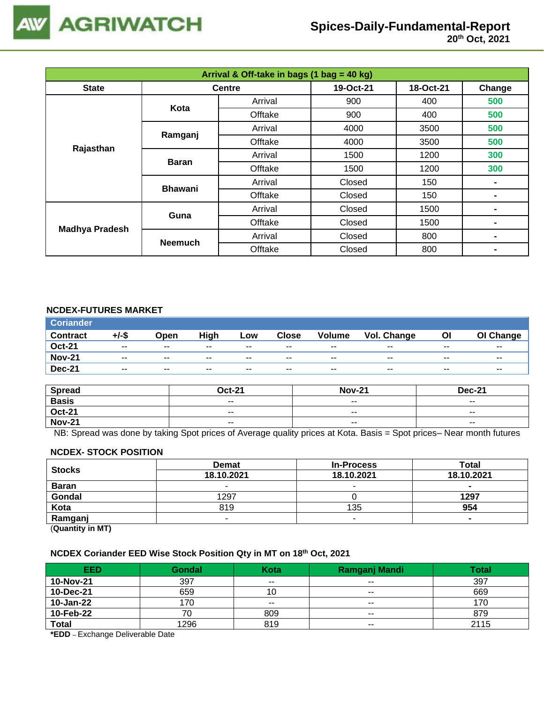

| Arrival & Off-take in bags (1 bag = 40 kg) |                |               |           |           |        |  |  |
|--------------------------------------------|----------------|---------------|-----------|-----------|--------|--|--|
| <b>State</b>                               |                | <b>Centre</b> | 19-Oct-21 | 18-Oct-21 | Change |  |  |
|                                            | Kota           | Arrival       | 900       | 400       | 500    |  |  |
|                                            |                | Offtake       | 900       | 400       | 500    |  |  |
|                                            | Ramganj        | Arrival       | 4000      | 3500      | 500    |  |  |
| Rajasthan                                  |                | Offtake       | 4000      | 3500      | 500    |  |  |
|                                            | <b>Baran</b>   | Arrival       | 1500      | 1200      | 300    |  |  |
|                                            |                | Offtake       | 1500      | 1200      | 300    |  |  |
|                                            | <b>Bhawani</b> | Arrival       | Closed    | 150       |        |  |  |
|                                            |                | Offtake       | Closed    | 150       |        |  |  |
|                                            | Guna           | Arrival       | Closed    | 1500      |        |  |  |
|                                            |                | Offtake       | Closed    | 1500      |        |  |  |
| <b>Madhya Pradesh</b>                      |                | Arrival       | Closed    | 800       |        |  |  |
|                                            | <b>Neemuch</b> | Offtake       | Closed    | 800       |        |  |  |

## **NCDEX-FUTURES MARKET**

| <b>Coriander</b> |          |                          |       |       |              |               |             |       |                          |
|------------------|----------|--------------------------|-------|-------|--------------|---------------|-------------|-------|--------------------------|
| <b>Contract</b>  | $+/-$ \$ | Open                     | High  | Low   | <b>Close</b> | <b>Volume</b> | Vol. Change | Οl    | OI Change                |
| <b>Oct-21</b>    | $- -$    | $\sim$ $\sim$            | $- -$ | $- -$ | $- -$        | $- -$         | $-$         | $- -$ | $- -$                    |
| <b>Nov-21</b>    | $- -$    | $\sim$ $\sim$            | $- -$ | $- -$ | $- -$        | $- -$         | $- -$       | $- -$ | $\overline{\phantom{m}}$ |
| <b>Dec-21</b>    | $- -$    | $\overline{\phantom{a}}$ | $- -$ | $- -$ | $- -$        | $- -$         | $- -$       | $- -$ | $- -$                    |

| <b>Spread</b> | <b>Oct-21</b> | <b>Nov-21</b>            | <b>Dec-21</b>            |
|---------------|---------------|--------------------------|--------------------------|
| <b>Basis</b>  | $ -$          | $\overline{\phantom{a}}$ | $\overline{\phantom{a}}$ |
| <b>Oct-21</b> | $- -$         | $- -$                    | $- -$                    |
| <b>Nov-21</b> | $ -$          | $\sim$ $\sim$            | $\overline{\phantom{a}}$ |

NB: Spread was done by taking Spot prices of Average quality prices at Kota. Basis = Spot prices– Near month futures

#### **NCDEX- STOCK POSITION**

| <b>Stocks</b>       | <b>Demat</b> | <b>In-Process</b> | Total          |  |
|---------------------|--------------|-------------------|----------------|--|
|                     | 18.10.2021   | 18.10.2021        | 18.10.2021     |  |
| <b>Baran</b>        | -            |                   | $\blacksquare$ |  |
| Gondal              | 1297         |                   | 1297           |  |
| Kota                | 819          | 135               | 954            |  |
| Ramganj             | -            |                   |                |  |
| $(0.122 \pm 0.011)$ |              |                   |                |  |

(**Quantity in MT)**

#### **NCDEX Coriander EED Wise Stock Position Qty in MT on 18 th Oct, 2021**

| <b>EED</b>   | <b>Gondal</b> | Kota  | Ramganj Mandi | Total |
|--------------|---------------|-------|---------------|-------|
| 10-Nov-21    | 397           | $- -$ | $- -$         | 397   |
| 10-Dec-21    | 659           | 10    | $- -$         | 669   |
| 10-Jan-22    | 170           | $- -$ | $- -$         | 170   |
| 10-Feb-22    | U             | 809   | $- -$         | 879   |
| <b>Total</b> | 1296          | 819   | $- -$         | 2115  |